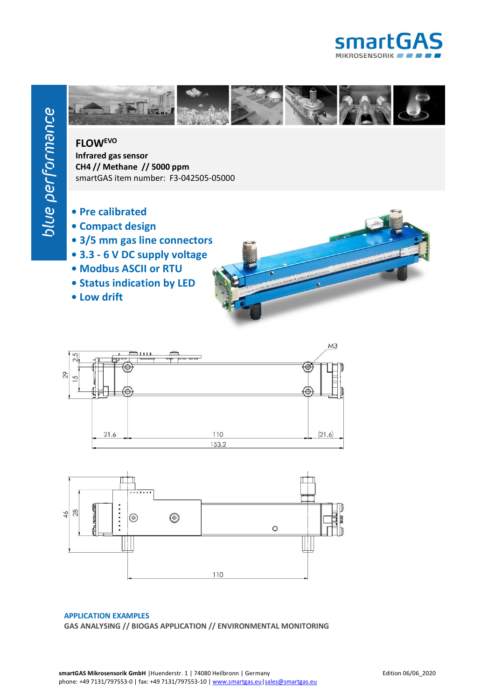



## **FLOWEVO**

**Infrared gas sensor CH4 // Methane // 5000 ppm** smartGAS item number: F3-042505-05000

- **Pre calibrated**
- **Compact design**
- **3/5 mm gas line connectors**
- **3.3 - 6 V DC supply voltage**
- **Modbus ASCII or RTU**
- **Status indication by LED**
- **Low drift**





## **APPLICATION EXAMPLES GAS ANALYSING // BIOGAS APPLICATION // ENVIRONMENTAL MONITORING**